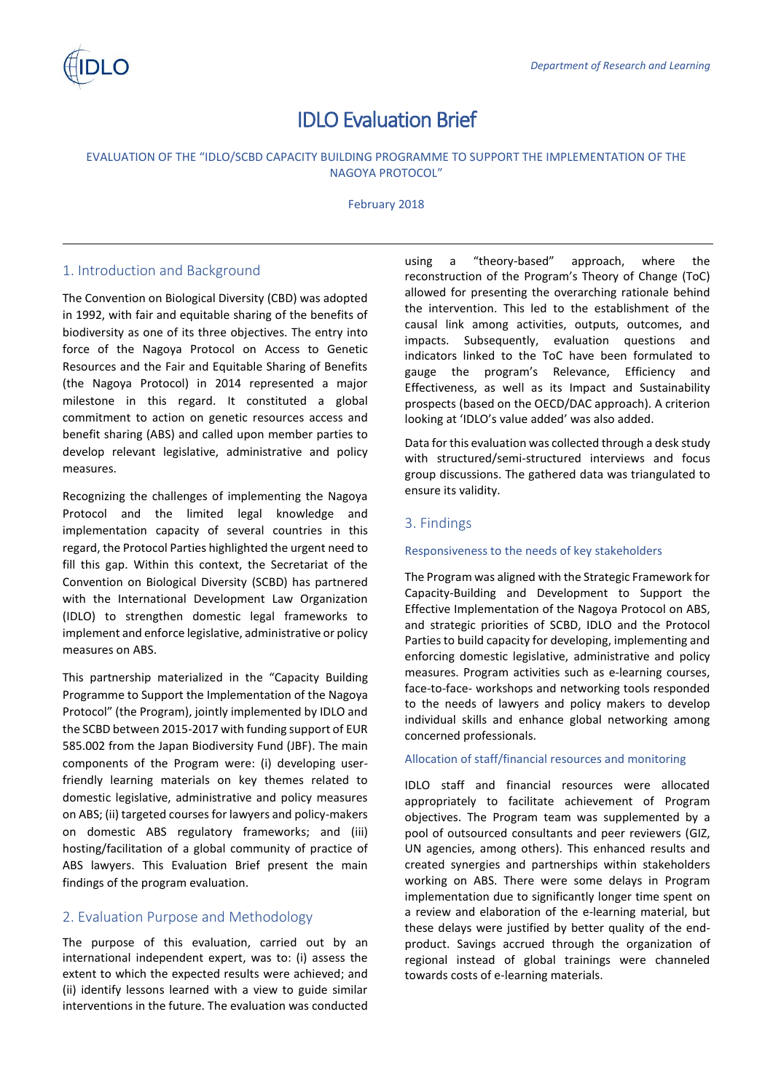# IDLO Evaluation Brief

# EVALUATION OF THE "IDLO/SCBD CAPACITY BUILDING PROGRAMME TO SUPPORT THE IMPLEMENTATION OF THE NAGOYA PROTOCOL"

February 2018

# 1. Introduction and Background

The Convention on Biological Diversity (CBD) was adopted in 1992, with fair and equitable sharing of the benefits of biodiversity as one of its three objectives. The entry into force of the Nagoya Protocol on Access to Genetic Resources and the Fair and Equitable Sharing of Benefits (the Nagoya Protocol) in 2014 represented a major milestone in this regard. It constituted a global commitment to action on genetic resources access and benefit sharing (ABS) and called upon member parties to develop relevant legislative, administrative and policy measures.

Recognizing the challenges of implementing the Nagoya Protocol and the limited legal knowledge and implementation capacity of several countries in this regard, the Protocol Parties highlighted the urgent need to fill this gap. Within this context, the Secretariat of the Convention on Biological Diversity (SCBD) has partnered with the International Development Law Organization (IDLO) to strengthen domestic legal frameworks to implement and enforce legislative, administrative or policy measures on ABS.

This partnership materialized in the "Capacity Building Programme to Support the Implementation of the Nagoya Protocol" (the Program), jointly implemented by IDLO and the SCBD between 2015-2017 with funding support of EUR 585.002 from the Japan Biodiversity Fund (JBF). The main components of the Program were: (i) developing userfriendly learning materials on key themes related to domestic legislative, administrative and policy measures on ABS; (ii) targeted courses for lawyers and policy-makers on domestic ABS regulatory frameworks; and (iii) hosting/facilitation of a global community of practice of ABS lawyers. This Evaluation Brief present the main findings of the program evaluation.

# 2. Evaluation Purpose and Methodology

The purpose of this evaluation, carried out by an international independent expert, was to: (i) assess the extent to which the expected results were achieved; and (ii) identify lessons learned with a view to guide similar interventions in the future. The evaluation was conducted using a "theory-based" approach, where the reconstruction of the Program's Theory of Change (ToC) allowed for presenting the overarching rationale behind the intervention. This led to the establishment of the causal link among activities, outputs, outcomes, and impacts. Subsequently, evaluation questions and indicators linked to the ToC have been formulated to gauge the program's Relevance, Efficiency and Effectiveness, as well as its Impact and Sustainability prospects (based on the OECD/DAC approach). A criterion looking at 'IDLO's value added' was also added.

Data for this evaluation was collected through a desk study with structured/semi-structured interviews and focus group discussions. The gathered data was triangulated to ensure its validity.

# 3. Findings

## Responsiveness to the needs of key stakeholders

The Program was aligned with the Strategic Framework for Capacity-Building and Development to Support the Effective Implementation of the Nagoya Protocol on ABS, and strategic priorities of SCBD, IDLO and the Protocol Parties to build capacity for developing, implementing and enforcing domestic legislative, administrative and policy measures. Program activities such as e-learning courses, face-to-face- workshops and networking tools responded to the needs of lawyers and policy makers to develop individual skills and enhance global networking among concerned professionals.

## Allocation of staff/financial resources and monitoring

IDLO staff and financial resources were allocated appropriately to facilitate achievement of Program objectives. The Program team was supplemented by a pool of outsourced consultants and peer reviewers (GIZ, UN agencies, among others). This enhanced results and created synergies and partnerships within stakeholders working on ABS. There were some delays in Program implementation due to significantly longer time spent on a review and elaboration of the e-learning material, but these delays were justified by better quality of the endproduct. Savings accrued through the organization of regional instead of global trainings were channeled towards costs of e-learning materials.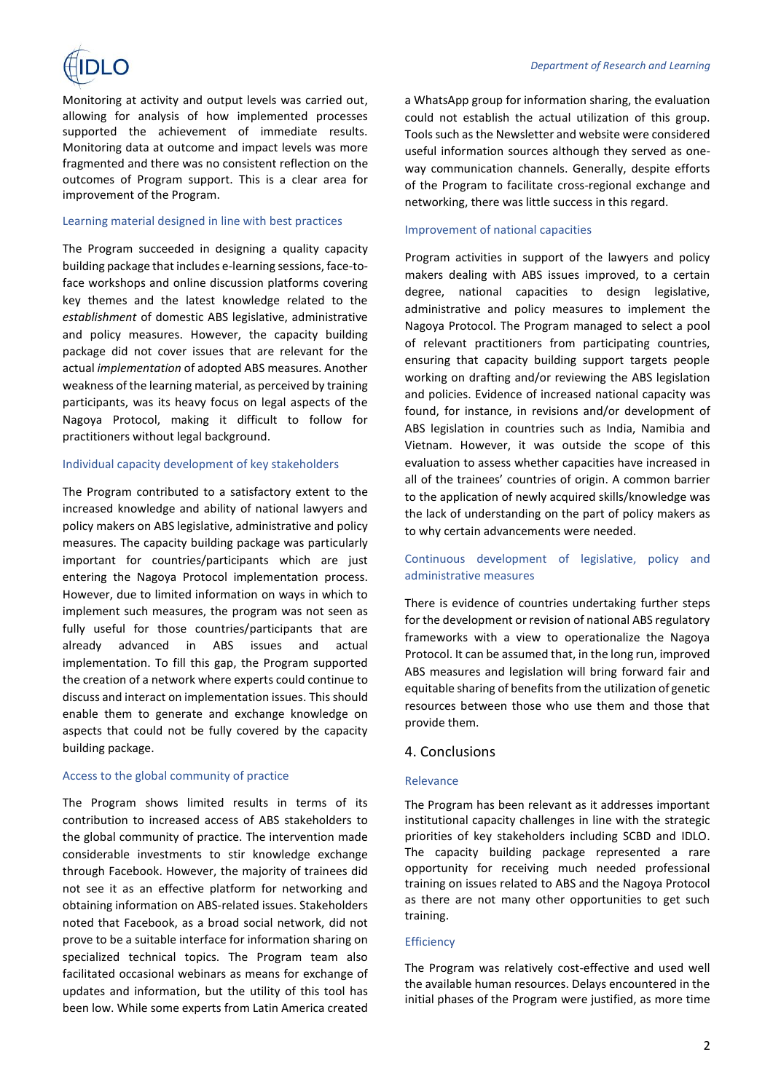

Monitoring at activity and output levels was carried out, allowing for analysis of how implemented processes supported the achievement of immediate results. Monitoring data at outcome and impact levels was more fragmented and there was no consistent reflection on the outcomes of Program support. This is a clear area for improvement of the Program.

#### Learning material designed in line with best practices

The Program succeeded in designing a quality capacity building package that includes e-learning sessions, face-toface workshops and online discussion platforms covering key themes and the latest knowledge related to the *establishment* of domestic ABS legislative, administrative and policy measures. However, the capacity building package did not cover issues that are relevant for the actual *implementation* of adopted ABS measures. Another weakness of the learning material, as perceived by training participants, was its heavy focus on legal aspects of the Nagoya Protocol, making it difficult to follow for practitioners without legal background.

#### Individual capacity development of key stakeholders

The Program contributed to a satisfactory extent to the increased knowledge and ability of national lawyers and policy makers on ABS legislative, administrative and policy measures. The capacity building package was particularly important for countries/participants which are just entering the Nagoya Protocol implementation process. However, due to limited information on ways in which to implement such measures, the program was not seen as fully useful for those countries/participants that are already advanced in ABS issues and actual implementation. To fill this gap, the Program supported the creation of a network where experts could continue to discuss and interact on implementation issues. This should enable them to generate and exchange knowledge on aspects that could not be fully covered by the capacity building package.

#### Access to the global community of practice

The Program shows limited results in terms of its contribution to increased access of ABS stakeholders to the global community of practice. The intervention made considerable investments to stir knowledge exchange through Facebook. However, the majority of trainees did not see it as an effective platform for networking and obtaining information on ABS-related issues. Stakeholders noted that Facebook, as a broad social network, did not prove to be a suitable interface for information sharing on specialized technical topics. The Program team also facilitated occasional webinars as means for exchange of updates and information, but the utility of this tool has been low. While some experts from Latin America created a WhatsApp group for information sharing, the evaluation could not establish the actual utilization of this group. Tools such as the Newsletter and website were considered useful information sources although they served as oneway communication channels. Generally, despite efforts of the Program to facilitate cross-regional exchange and networking, there was little success in this regard.

#### Improvement of national capacities

Program activities in support of the lawyers and policy makers dealing with ABS issues improved, to a certain degree, national capacities to design legislative, administrative and policy measures to implement the Nagoya Protocol. The Program managed to select a pool of relevant practitioners from participating countries, ensuring that capacity building support targets people working on drafting and/or reviewing the ABS legislation and policies. Evidence of increased national capacity was found, for instance, in revisions and/or development of ABS legislation in countries such as India, Namibia and Vietnam. However, it was outside the scope of this evaluation to assess whether capacities have increased in all of the trainees' countries of origin. A common barrier to the application of newly acquired skills/knowledge was the lack of understanding on the part of policy makers as to why certain advancements were needed.

## Continuous development of legislative, policy and administrative measures

There is evidence of countries undertaking further steps for the development or revision of national ABS regulatory frameworks with a view to operationalize the Nagoya Protocol. It can be assumed that, in the long run, improved ABS measures and legislation will bring forward fair and equitable sharing of benefits from the utilization of genetic resources between those who use them and those that provide them.

#### 4. Conclusions

#### Relevance

The Program has been relevant as it addresses important institutional capacity challenges in line with the strategic priorities of key stakeholders including SCBD and IDLO. The capacity building package represented a rare opportunity for receiving much needed professional training on issues related to ABS and the Nagoya Protocol as there are not many other opportunities to get such training.

#### **Efficiency**

The Program was relatively cost-effective and used well the available human resources. Delays encountered in the initial phases of the Program were justified, as more time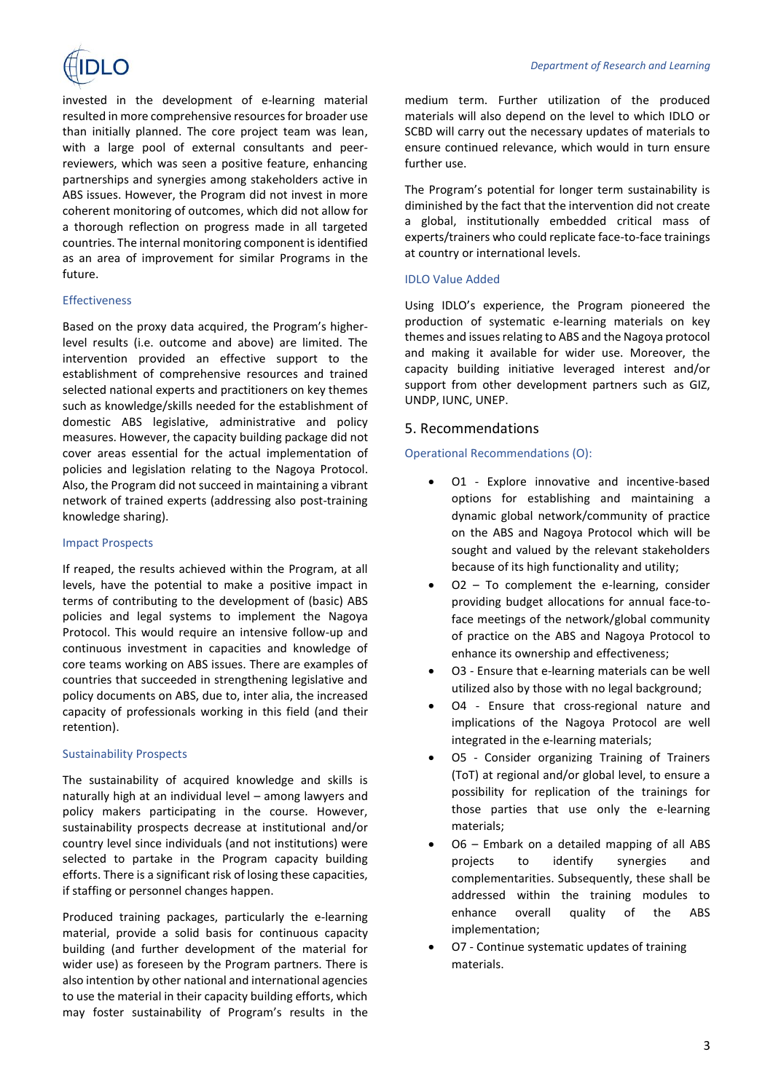

invested in the development of e-learning material resulted in more comprehensive resources for broader use than initially planned. The core project team was lean, with a large pool of external consultants and peerreviewers, which was seen a positive feature, enhancing partnerships and synergies among stakeholders active in ABS issues. However, the Program did not invest in more coherent monitoring of outcomes, which did not allow for a thorough reflection on progress made in all targeted countries. The internal monitoring component is identified as an area of improvement for similar Programs in the future.

#### Effectiveness

Based on the proxy data acquired, the Program's higherlevel results (i.e. outcome and above) are limited. The intervention provided an effective support to the establishment of comprehensive resources and trained selected national experts and practitioners on key themes such as knowledge/skills needed for the establishment of domestic ABS legislative, administrative and policy measures. However, the capacity building package did not cover areas essential for the actual implementation of policies and legislation relating to the Nagoya Protocol. Also, the Program did not succeed in maintaining a vibrant network of trained experts (addressing also post-training knowledge sharing).

#### Impact Prospects

If reaped, the results achieved within the Program, at all levels, have the potential to make a positive impact in terms of contributing to the development of (basic) ABS policies and legal systems to implement the Nagoya Protocol. This would require an intensive follow-up and continuous investment in capacities and knowledge of core teams working on ABS issues. There are examples of countries that succeeded in strengthening legislative and policy documents on ABS, due to, inter alia, the increased capacity of professionals working in this field (and their retention).

#### Sustainability Prospects

The sustainability of acquired knowledge and skills is naturally high at an individual level – among lawyers and policy makers participating in the course. However, sustainability prospects decrease at institutional and/or country level since individuals (and not institutions) were selected to partake in the Program capacity building efforts. There is a significant risk of losing these capacities, if staffing or personnel changes happen.

Produced training packages, particularly the e-learning material, provide a solid basis for continuous capacity building (and further development of the material for wider use) as foreseen by the Program partners. There is also intention by other national and international agencies to use the material in their capacity building efforts, which may foster sustainability of Program's results in the medium term. Further utilization of the produced materials will also depend on the level to which IDLO or SCBD will carry out the necessary updates of materials to ensure continued relevance, which would in turn ensure further use.

The Program's potential for longer term sustainability is diminished by the fact that the intervention did not create a global, institutionally embedded critical mass of experts/trainers who could replicate face-to-face trainings at country or international levels.

#### IDLO Value Added

Using IDLO's experience, the Program pioneered the production of systematic e-learning materials on key themes and issues relating to ABS and the Nagoya protocol and making it available for wider use. Moreover, the capacity building initiative leveraged interest and/or support from other development partners such as GIZ, UNDP, IUNC, UNEP.

#### 5. Recommendations

#### Operational Recommendations (O):

- O1 Explore innovative and incentive-based options for establishing and maintaining a dynamic global network/community of practice on the ABS and Nagoya Protocol which will be sought and valued by the relevant stakeholders because of its high functionality and utility;
- O2 To complement the e-learning, consider providing budget allocations for annual face-toface meetings of the network/global community of practice on the ABS and Nagoya Protocol to enhance its ownership and effectiveness;
- O3 Ensure that e-learning materials can be well utilized also by those with no legal background;
- O4 Ensure that cross-regional nature and implications of the Nagoya Protocol are well integrated in the e-learning materials;
- O5 Consider organizing Training of Trainers (ToT) at regional and/or global level, to ensure a possibility for replication of the trainings for those parties that use only the e-learning materials;
- O6 Embark on a detailed mapping of all ABS projects to identify synergies and complementarities. Subsequently, these shall be addressed within the training modules to enhance overall quality of the ABS implementation;
- O7 Continue systematic updates of training materials.